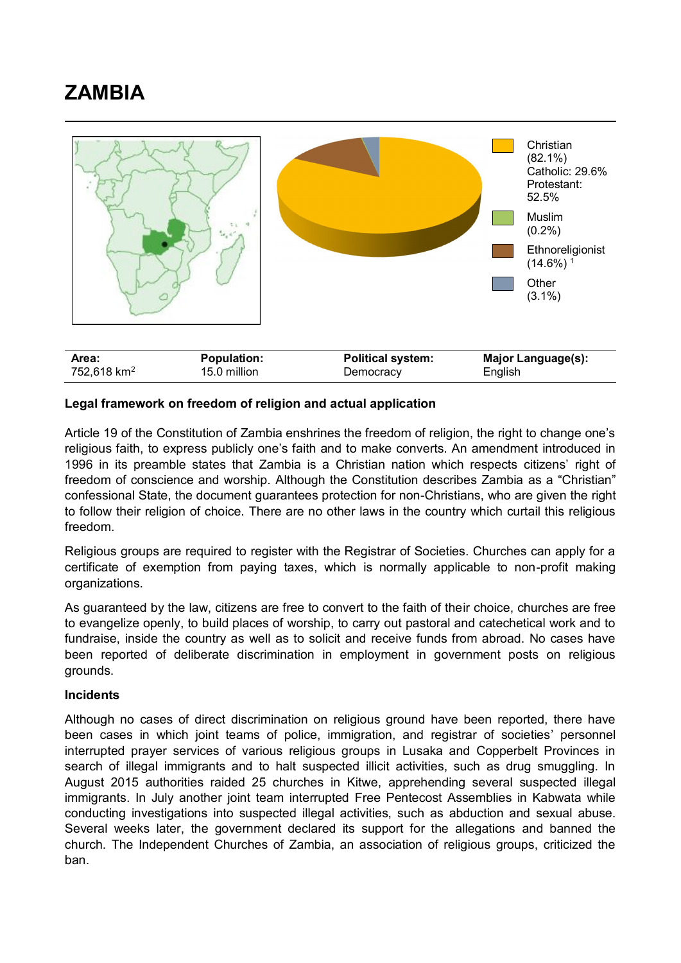## **ZAMBIA**



## **Legal framework on freedom of religion and actual application**

Article 19 of the Constitution of Zambia enshrines the freedom of religion, the right to change one's religious faith, to express publicly one's faith and to make converts. An amendment introduced in 1996 in its preamble states that Zambia is a Christian nation which respects citizens' right of freedom of conscience and worship. Although the Constitution describes Zambia as a "Christian" confessional State, the document guarantees protection for non-Christians, who are given the right to follow their religion of choice. There are no other laws in the country which curtail this religious freedom.

Religious groups are required to register with the Registrar of Societies. Churches can apply for a certificate of exemption from paying taxes, which is normally applicable to non-profit making organizations.

As guaranteed by the law, citizens are free to convert to the faith of their choice, churches are free to evangelize openly, to build places of worship, to carry out pastoral and catechetical work and to fundraise, inside the country as well as to solicit and receive funds from abroad. No cases have been reported of deliberate discrimination in employment in government posts on religious grounds.

## **Incidents**

Although no cases of direct discrimination on religious ground have been reported, there have been cases in which joint teams of police, immigration, and registrar of societies' personnel interrupted prayer services of various religious groups in Lusaka and Copperbelt Provinces in search of illegal immigrants and to halt suspected illicit activities, such as drug smuggling. In August 2015 authorities raided 25 churches in Kitwe, apprehending several suspected illegal immigrants. In July another joint team interrupted Free Pentecost Assemblies in Kabwata while conducting investigations into suspected illegal activities, such as abduction and sexual abuse. Several weeks later, the government declared its support for the allegations and banned the church. The Independent Churches of Zambia, an association of religious groups, criticized the ban.